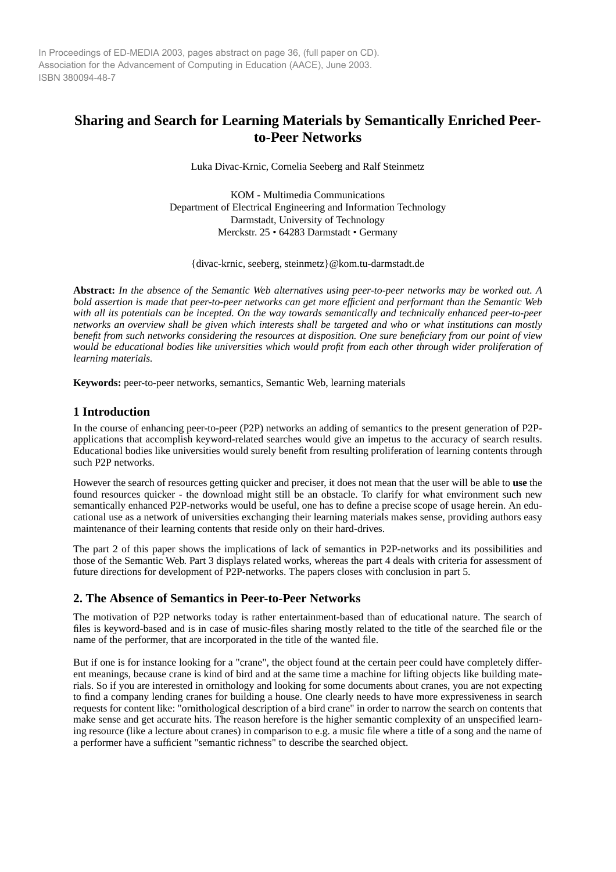In Proceedings of ED-MEDIA 2003, pages abstract on page 36, (full paper on CD). Association for the Advancement of Computing in Education (AACE), June 2003. ISBN 380094-48-7

# **Sharing and Search for Learning Materials by Semantically Enriched Peerto-Peer Networks**

Luka Divac-Krnic, Cornelia Seeberg and Ralf Steinmetz

KOM - Multimedia Communications Department of Electrical Engineering and Information Technology Darmstadt, University of Technology Merckstr. 25 • 64283 Darmstadt • Germany

{divac-krnic, seeberg, steinmetz}@kom.tu-darmstadt.de

**Abstract:** *In the absence of the Semantic Web alternatives using peer-to-peer networks may be worked out. A bold assertion is made that peer-to-peer networks can get more efficient and performant than the Semantic Web with all its potentials can be incepted. On the way towards semantically and technically enhanced peer-to-peer networks an overview shall be given which interests shall be targeted and who or what institutions can mostly benefit from such networks considering the resources at disposition. One sure beneficiary from our point of view would be educational bodies like universities which would profit from each other through wider proliferation of learning materials.*

**Keywords:** peer-to-peer networks, semantics, Semantic Web, learning materials

## **1 Introduction**

In the course of enhancing peer-to-peer (P2P) networks an adding of semantics to the present generation of P2Papplications that accomplish keyword-related searches would give an impetus to the accuracy of search results. Educational bodies like universities would surely benefit from resulting proliferation of learning contents through such P2P networks.

However the search of resources getting quicker and preciser, it does not mean that the user will be able to **use** the found resources quicker - the download might still be an obstacle. To clarify for what environment such new semantically enhanced P2P-networks would be useful, one has to define a precise scope of usage herein. An educational use as a network of universities exchanging their learning materials makes sense, providing authors easy maintenance of their learning contents that reside only on their hard-drives.

The part 2 of this paper shows the implications of lack of semantics in P2P-networks and its possibilities and those of the Semantic Web. Part 3 displays related works, whereas the part 4 deals with criteria for assessment of future directions for development of P2P-networks. The papers closes with conclusion in part 5.

## **2. The Absence of Semantics in Peer-to-Peer Networks**

The motivation of P2P networks today is rather entertainment-based than of educational nature. The search of files is keyword-based and is in case of music-files sharing mostly related to the title of the searched file or the name of the performer, that are incorporated in the title of the wanted file.

But if one is for instance looking for a "crane", the object found at the certain peer could have completely different meanings, because crane is kind of bird and at the same time a machine for lifting objects like building materials. So if you are interested in ornithology and looking for some documents about cranes, you are not expecting to find a company lending cranes for building a house. One clearly needs to have more expressiveness in search requests for content like: "ornithological description of a bird crane" in order to narrow the search on contents that make sense and get accurate hits. The reason herefore is the higher semantic complexity of an unspecified learning resource (like a lecture about cranes) in comparison to e.g. a music file where a title of a song and the name of a performer have a sufficient "semantic richness" to describe the searched object.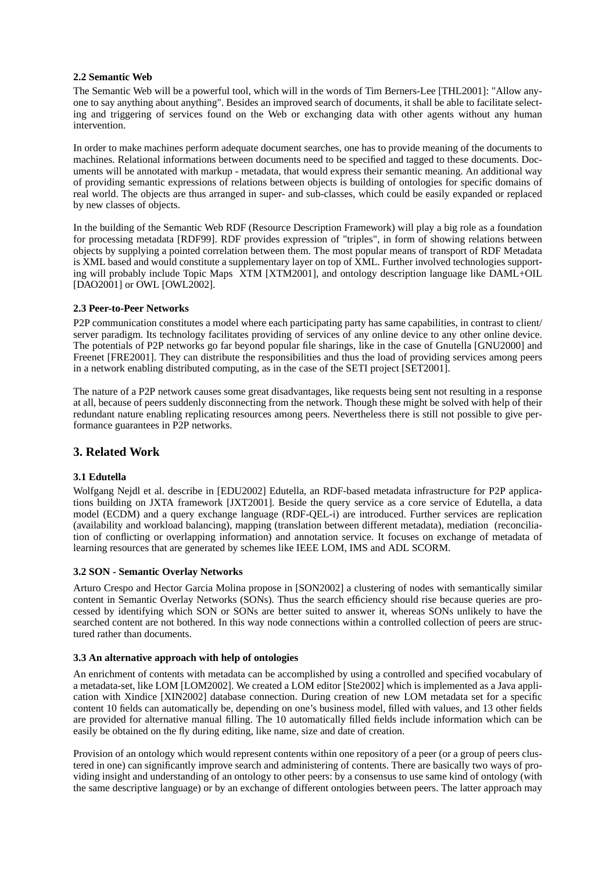### **2.2 Semantic Web**

The Semantic Web will be a powerful tool, which will in the words of Tim Berners-Lee [THL2001]: "Allow anyone to say anything about anything". Besides an improved search of documents, it shall be able to facilitate selecting and triggering of services found on the Web or exchanging data with other agents without any human intervention.

In order to make machines perform adequate document searches, one has to provide meaning of the documents to machines. Relational informations between documents need to be specified and tagged to these documents. Documents will be annotated with markup - metadata, that would express their semantic meaning. An additional way of providing semantic expressions of relations between objects is building of ontologies for specific domains of real world. The objects are thus arranged in super- and sub-classes, which could be easily expanded or replaced by new classes of objects.

In the building of the Semantic Web RDF (Resource Description Framework) will play a big role as a foundation for processing metadata [RDF99]. RDF provides expression of "triples", in form of showing relations between objects by supplying a pointed correlation between them. The most popular means of transport of RDF Metadata is XML based and would constitute a supplementary layer on top of XML. Further involved technologies supporting will probably include Topic Maps XTM [XTM2001], and ontology description language like DAML+OIL [DAO2001] or OWL [OWL2002].

### **2.3 Peer-to-Peer Networks**

P2P communication constitutes a model where each participating party has same capabilities, in contrast to client/ server paradigm. Its technology facilitates providing of services of any online device to any other online device. The potentials of P2P networks go far beyond popular file sharings, like in the case of Gnutella [GNU2000] and Freenet [FRE2001]. They can distribute the responsibilities and thus the load of providing services among peers in a network enabling distributed computing, as in the case of the SETI project [SET2001].

The nature of a P2P network causes some great disadvantages, like requests being sent not resulting in a response at all, because of peers suddenly disconnecting from the network. Though these might be solved with help of their redundant nature enabling replicating resources among peers. Nevertheless there is still not possible to give performance guarantees in P2P networks.

### **3. Related Work**

### **3.1 Edutella**

Wolfgang Nejdl et al. describe in [EDU2002] Edutella, an RDF-based metadata infrastructure for P2P applications building on JXTA framework [JXT2001]. Beside the query service as a core service of Edutella, a data model (ECDM) and a query exchange language (RDF-QEL-i) are introduced. Further services are replication (availability and workload balancing), mapping (translation between different metadata), mediation (reconciliation of conflicting or overlapping information) and annotation service. It focuses on exchange of metadata of learning resources that are generated by schemes like IEEE LOM, IMS and ADL SCORM.

#### **3.2 SON - Semantic Overlay Networks**

Arturo Crespo and Hector Garcia Molina propose in [SON2002] a clustering of nodes with semantically similar content in Semantic Overlay Networks (SONs). Thus the search efficiency should rise because queries are processed by identifying which SON or SONs are better suited to answer it, whereas SONs unlikely to have the searched content are not bothered. In this way node connections within a controlled collection of peers are structured rather than documents.

#### **3.3 An alternative approach with help of ontologies**

An enrichment of contents with metadata can be accomplished by using a controlled and specified vocabulary of a metadata-set, like LOM [LOM2002]. We created a LOM editor [Ste2002] which is implemented as a Java application with Xindice [XIN2002] database connection. During creation of new LOM metadata set for a specific content 10 fields can automatically be, depending on one's business model, filled with values, and 13 other fields are provided for alternative manual filling. The 10 automatically filled fields include information which can be easily be obtained on the fly during editing, like name, size and date of creation.

Provision of an ontology which would represent contents within one repository of a peer (or a group of peers clustered in one) can significantly improve search and administering of contents. There are basically two ways of providing insight and understanding of an ontology to other peers: by a consensus to use same kind of ontology (with the same descriptive language) or by an exchange of different ontologies between peers. The latter approach may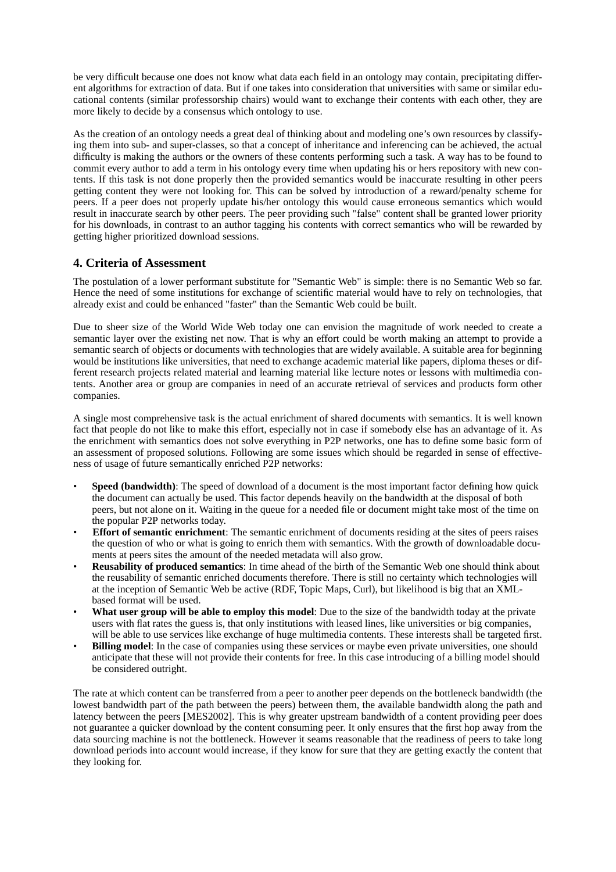be very difficult because one does not know what data each field in an ontology may contain, precipitating different algorithms for extraction of data. But if one takes into consideration that universities with same or similar educational contents (similar professorship chairs) would want to exchange their contents with each other, they are more likely to decide by a consensus which ontology to use.

As the creation of an ontology needs a great deal of thinking about and modeling one's own resources by classifying them into sub- and super-classes, so that a concept of inheritance and inferencing can be achieved, the actual difficulty is making the authors or the owners of these contents performing such a task. A way has to be found to commit every author to add a term in his ontology every time when updating his or hers repository with new contents. If this task is not done properly then the provided semantics would be inaccurate resulting in other peers getting content they were not looking for. This can be solved by introduction of a reward/penalty scheme for peers. If a peer does not properly update his/her ontology this would cause erroneous semantics which would result in inaccurate search by other peers. The peer providing such "false" content shall be granted lower priority for his downloads, in contrast to an author tagging his contents with correct semantics who will be rewarded by getting higher prioritized download sessions.

## **4. Criteria of Assessment**

The postulation of a lower performant substitute for "Semantic Web" is simple: there is no Semantic Web so far. Hence the need of some institutions for exchange of scientific material would have to rely on technologies, that already exist and could be enhanced "faster" than the Semantic Web could be built.

Due to sheer size of the World Wide Web today one can envision the magnitude of work needed to create a semantic layer over the existing net now. That is why an effort could be worth making an attempt to provide a semantic search of objects or documents with technologies that are widely available. A suitable area for beginning would be institutions like universities, that need to exchange academic material like papers, diploma theses or different research projects related material and learning material like lecture notes or lessons with multimedia contents. Another area or group are companies in need of an accurate retrieval of services and products form other companies.

A single most comprehensive task is the actual enrichment of shared documents with semantics. It is well known fact that people do not like to make this effort, especially not in case if somebody else has an advantage of it. As the enrichment with semantics does not solve everything in P2P networks, one has to define some basic form of an assessment of proposed solutions. Following are some issues which should be regarded in sense of effectiveness of usage of future semantically enriched P2P networks:

- **Speed (bandwidth)**: The speed of download of a document is the most important factor defining how quick the document can actually be used. This factor depends heavily on the bandwidth at the disposal of both peers, but not alone on it. Waiting in the queue for a needed file or document might take most of the time on the popular P2P networks today.
- **Effort of semantic enrichment**: The semantic enrichment of documents residing at the sites of peers raises the question of who or what is going to enrich them with semantics. With the growth of downloadable documents at peers sites the amount of the needed metadata will also grow.
- **Reusability of produced semantics**: In time ahead of the birth of the Semantic Web one should think about the reusability of semantic enriched documents therefore. There is still no certainty which technologies will at the inception of Semantic Web be active (RDF, Topic Maps, Curl), but likelihood is big that an XMLbased format will be used.
- **What user group will be able to employ this model**: Due to the size of the bandwidth today at the private users with flat rates the guess is, that only institutions with leased lines, like universities or big companies, will be able to use services like exchange of huge multimedia contents. These interests shall be targeted first.
- **Billing model:** In the case of companies using these services or maybe even private universities, one should anticipate that these will not provide their contents for free. In this case introducing of a billing model should be considered outright.

The rate at which content can be transferred from a peer to another peer depends on the bottleneck bandwidth (the lowest bandwidth part of the path between the peers) between them, the available bandwidth along the path and latency between the peers [MES2002]. This is why greater upstream bandwidth of a content providing peer does not guarantee a quicker download by the content consuming peer. It only ensures that the first hop away from the data sourcing machine is not the bottleneck. However it seams reasonable that the readiness of peers to take long download periods into account would increase, if they know for sure that they are getting exactly the content that they looking for.